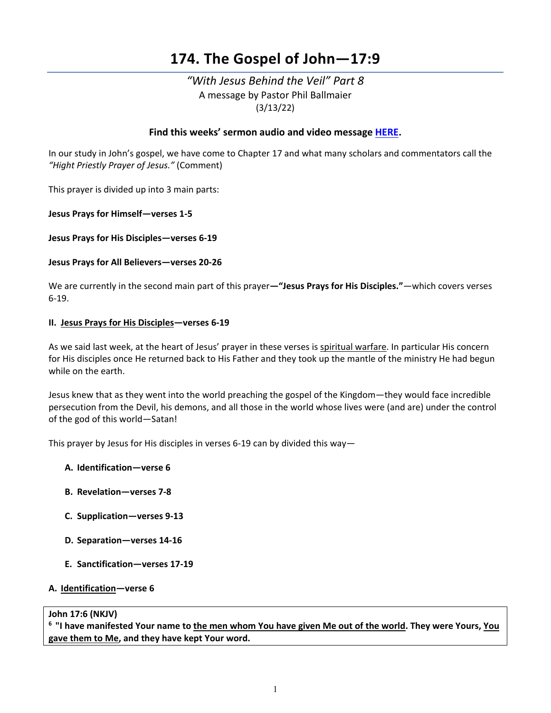# **174. The Gospel of John—17:9**

# *"With Jesus Behind the Veil" Part 8*  A message by Pastor Phil Ballmaier (3/13/22)

## **Find this weeks' sermon audio and video message [HERE.](http://www.ccelkgrove.org/sunday-archives)**

In our study in John's gospel, we have come to Chapter 17 and what many scholars and commentators call the *"Hight Priestly Prayer of Jesus."* (Comment)

This prayer is divided up into 3 main parts:

**Jesus Prays for Himself—verses 1-5**

**Jesus Prays for His Disciples—verses 6-19**

#### **Jesus Prays for All Believers—verses 20-26**

We are currently in the second main part of this prayer**—"Jesus Prays for His Disciples."***—*which covers verses 6-19.

#### **II. Jesus Prays for His Disciples—verses 6-19**

As we said last week, at the heart of Jesus' prayer in these verses is spiritual warfare. In particular His concern for His disciples once He returned back to His Father and they took up the mantle of the ministry He had begun while on the earth.

Jesus knew that as they went into the world preaching the gospel of the Kingdom—they would face incredible persecution from the Devil, his demons, and all those in the world whose lives were (and are) under the control of the god of this world—Satan!

This prayer by Jesus for His disciples in verses 6-19 can by divided this way—

- **A. Identification—verse 6**
- **B. Revelation—verses 7-8**
- **C. Supplication—verses 9-13**
- **D. Separation—verses 14-16**
- **E. Sanctification—verses 17-19**

### **A. Identification—verse 6**

#### **John 17:6 (NKJV)**

**6 "I have manifested Your name to the men whom You have given Me out of the world. They were Yours, You gave them to Me, and they have kept Your word.**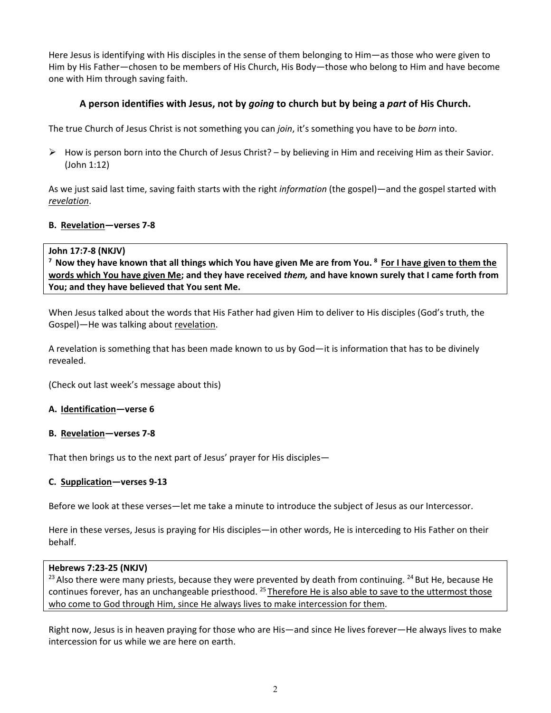Here Jesus is identifying with His disciples in the sense of them belonging to Him—as those who were given to Him by His Father—chosen to be members of His Church, His Body—those who belong to Him and have become one with Him through saving faith.

# **A person identifies with Jesus, not by** *going* **to church but by being a** *part* **of His Church.**

The true Church of Jesus Christ is not something you can *join*, it's something you have to be *born* into.

 $\triangleright$  How is person born into the Church of Jesus Christ? – by believing in Him and receiving Him as their Savior. (John 1:12)

As we just said last time, saving faith starts with the right *information* (the gospel)—and the gospel started with *revelation*.

# **B. Revelation—verses 7-8**

John 17:7-8 (NKJV)<br><sup>7</sup> Now they have known that all things which You have given Me are from You. <sup>8</sup> For I have given to them the **words which You have given Me; and they have received** *them,* **and have known surely that I came forth from You; and they have believed that You sent Me.**

When Jesus talked about the words that His Father had given Him to deliver to His disciples (God's truth, the Gospel)—He was talking about revelation.

A revelation is something that has been made known to us by God—it is information that has to be divinely revealed.

(Check out last week's message about this)

### **A. Identification—verse 6**

### **B. Revelation—verses 7-8**

That then brings us to the next part of Jesus' prayer for His disciples—

### **C. Supplication—verses 9-13**

Before we look at these verses—let me take a minute to introduce the subject of Jesus as our Intercessor.

Here in these verses, Jesus is praying for His disciples—in other words, He is interceding to His Father on their behalf.

#### **Hebrews 7:23-25 (NKJV)**

<sup>23</sup> Also there were many priests, because they were prevented by death from continuing. <sup>24</sup> But He, because He continues forever, has an unchangeable priesthood. <sup>25</sup> Therefore He is also able to save to the uttermost those who come to God through Him, since He always lives to make intercession for them.

Right now, Jesus is in heaven praying for those who are His—and since He lives forever—He always lives to make intercession for us while we are here on earth.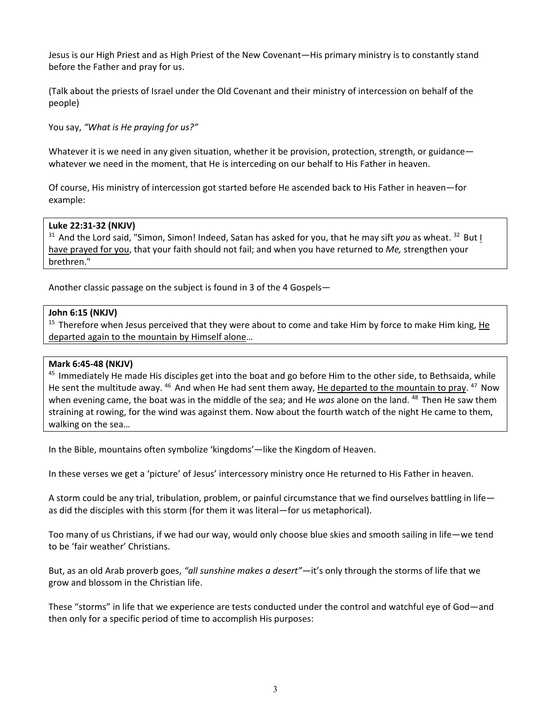Jesus is our High Priest and as High Priest of the New Covenant—His primary ministry is to constantly stand before the Father and pray for us.

(Talk about the priests of Israel under the Old Covenant and their ministry of intercession on behalf of the people)

You say, *"What is He praying for us?"*

Whatever it is we need in any given situation, whether it be provision, protection, strength, or guidance whatever we need in the moment, that He is interceding on our behalf to His Father in heaven.

Of course, His ministry of intercession got started before He ascended back to His Father in heaven—for example:

#### **Luke 22:31-32 (NKJV)**

<sup>31</sup> And the Lord said, "Simon, Simon! Indeed, Satan has asked for you, that he may sift *you* as wheat. <sup>32</sup> But I have prayed for you, that your faith should not fail; and when you have returned to *Me,* strengthen your brethren."

Another classic passage on the subject is found in 3 of the 4 Gospels—

#### **John 6:15 (NKJV)**

<sup>15</sup> Therefore when Jesus perceived that they were about to come and take Him by force to make Him king, He departed again to the mountain by Himself alone…

#### **Mark 6:45-48 (NKJV)**

<sup>45</sup> Immediately He made His disciples get into the boat and go before Him to the other side, to Bethsaida, while He sent the multitude away. <sup>46</sup> And when He had sent them away, He departed to the mountain to pray. <sup>47</sup> Now when evening came, the boat was in the middle of the sea; and He *was* alone on the land. 48 Then He saw them straining at rowing, for the wind was against them. Now about the fourth watch of the night He came to them, walking on the sea…

In the Bible, mountains often symbolize 'kingdoms'—like the Kingdom of Heaven.

In these verses we get a 'picture' of Jesus' intercessory ministry once He returned to His Father in heaven.

A storm could be any trial, tribulation, problem, or painful circumstance that we find ourselves battling in life as did the disciples with this storm (for them it was literal—for us metaphorical).

Too many of us Christians, if we had our way, would only choose blue skies and smooth sailing in life—we tend to be 'fair weather' Christians.

But, as an old Arab proverb goes, *"all sunshine makes a desert"—*it's only through the storms of life that we grow and blossom in the Christian life.

These "storms" in life that we experience are tests conducted under the control and watchful eye of God—and then only for a specific period of time to accomplish His purposes: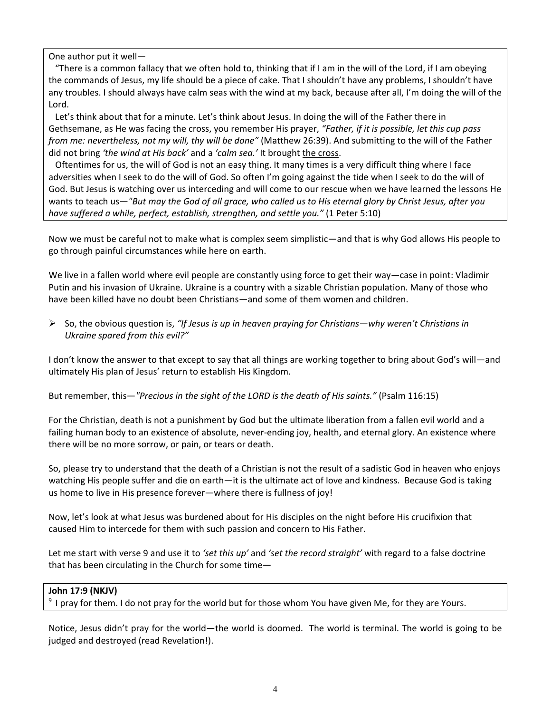One author put it well—

 "There is a common fallacy that we often hold to, thinking that if I am in the will of the Lord, if I am obeying the commands of Jesus, my life should be a piece of cake. That I shouldn't have any problems, I shouldn't have any troubles. I should always have calm seas with the wind at my back, because after all, I'm doing the will of the Lord.

 Let's think about that for a minute. Let's think about Jesus. In doing the will of the Father there in Gethsemane, as He was facing the cross, you remember His prayer, *"Father, if it is possible, let this cup pass from me: nevertheless, not my will, thy will be done"* (Matthew 26:39). And submitting to the will of the Father did not bring *'the wind at His back'* and a *'calm sea.'* It brought the cross.

 Oftentimes for us, the will of God is not an easy thing. It many times is a very difficult thing where I face adversities when I seek to do the will of God. So often I'm going against the tide when I seek to do the will of God. But Jesus is watching over us interceding and will come to our rescue when we have learned the lessons He wants to teach us—*"But may the God of all grace, who called us to His eternal glory by Christ Jesus, after you have suffered a while, perfect, establish, strengthen, and settle you."* (1 Peter 5:10)

Now we must be careful not to make what is complex seem simplistic—and that is why God allows His people to go through painful circumstances while here on earth.

We live in a fallen world where evil people are constantly using force to get their way—case in point: Vladimir Putin and his invasion of Ukraine. Ukraine is a country with a sizable Christian population. Many of those who have been killed have no doubt been Christians—and some of them women and children.

 So, the obvious question is, *"If Jesus is up in heaven praying for Christians—why weren't Christians in Ukraine spared from this evil?"*

I don't know the answer to that except to say that all things are working together to bring about God's will—and ultimately His plan of Jesus' return to establish His Kingdom.

But remember, this—*"Precious in the sight of the LORD is the death of His saints."* (Psalm 116:15)

For the Christian, death is not a punishment by God but the ultimate liberation from a fallen evil world and a failing human body to an existence of absolute, never-ending joy, health, and eternal glory. An existence where there will be no more sorrow, or pain, or tears or death.

So, please try to understand that the death of a Christian is not the result of a sadistic God in heaven who enjoys watching His people suffer and die on earth—it is the ultimate act of love and kindness. Because God is taking us home to live in His presence forever—where there is fullness of joy!

Now, let's look at what Jesus was burdened about for His disciples on the night before His crucifixion that caused Him to intercede for them with such passion and concern to His Father.

Let me start with verse 9 and use it to *'set this up'* and *'set the record straight'* with regard to a false doctrine that has been circulating in the Church for some time—

#### **John 17:9 (NKJV)**

 $9$  I pray for them. I do not pray for the world but for those whom You have given Me, for they are Yours.

Notice, Jesus didn't pray for the world—the world is doomed. The world is terminal. The world is going to be judged and destroyed (read Revelation!).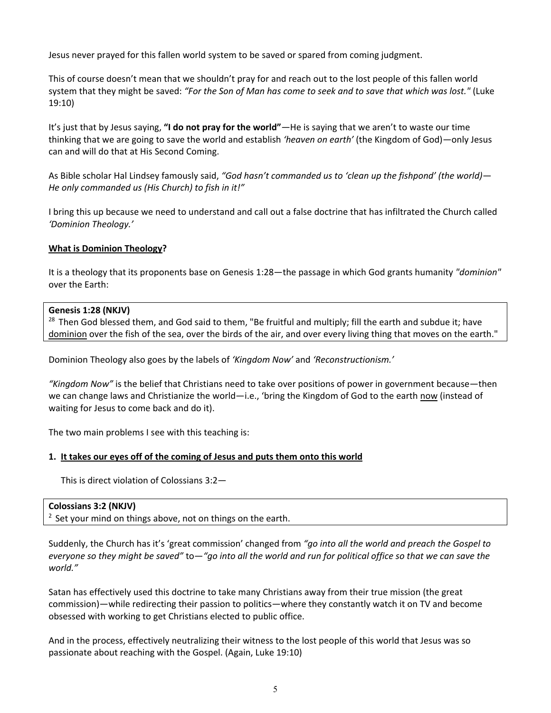Jesus never prayed for this fallen world system to be saved or spared from coming judgment.

This of course doesn't mean that we shouldn't pray for and reach out to the lost people of this fallen world system that they might be saved: *"For the Son of Man has come to seek and to save that which was lost."* (Luke 19:10)

It's just that by Jesus saying, **"I do not pray for the world"***—*He is saying that we aren't to waste our time thinking that we are going to save the world and establish *'heaven on earth'* (the Kingdom of God)*—*only Jesus can and will do that at His Second Coming.

As Bible scholar Hal Lindsey famously said, *"God hasn't commanded us to 'clean up the fishpond' (the world)— He only commanded us (His Church) to fish in it!"*

I bring this up because we need to understand and call out a false doctrine that has infiltrated the Church called *'Dominion Theology.'*

#### **What is Dominion Theology?**

It is a theology that its proponents base on Genesis 1:28—the passage in which God grants humanity *"dominion"* over the Earth:

#### **Genesis 1:28 (NKJV)**

<sup>28</sup> Then God blessed them, and God said to them, "Be fruitful and multiply; fill the earth and subdue it; have dominion over the fish of the sea, over the birds of the air, and over every living thing that moves on the earth."

Dominion Theology also goes by the labels of *'Kingdom Now'* and *'Reconstructionism.'*

*"Kingdom Now"* is the belief that Christians need to take over positions of power in government because—then we can change laws and Christianize the world—i.e., 'bring the Kingdom of God to the earth now (instead of waiting for Jesus to come back and do it).

The two main problems I see with this teaching is:

#### **1. It takes our eyes off of the coming of Jesus and puts them onto this world**

This is direct violation of Colossians 3:2—

#### **Colossians 3:2 (NKJV)**

 $2$  Set your mind on things above, not on things on the earth.

Suddenly, the Church has it's 'great commission' changed from *"go into all the world and preach the Gospel to everyone so they might be saved"* to—*"go into all the world and run for political office so that we can save the world."*

Satan has effectively used this doctrine to take many Christians away from their true mission (the great commission)—while redirecting their passion to politics—where they constantly watch it on TV and become obsessed with working to get Christians elected to public office.

And in the process, effectively neutralizing their witness to the lost people of this world that Jesus was so passionate about reaching with the Gospel. (Again, Luke 19:10)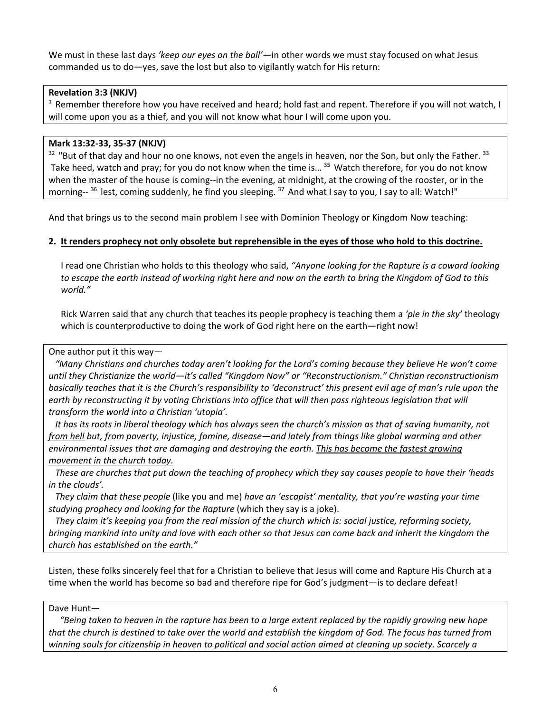We must in these last days *'keep our eyes on the ball'*—in other words we must stay focused on what Jesus commanded us to do—yes, save the lost but also to vigilantly watch for His return:

### **Revelation 3:3 (NKJV)**

<sup>3</sup> Remember therefore how you have received and heard; hold fast and repent. Therefore if you will not watch, I will come upon you as a thief, and you will not know what hour I will come upon you.

### **Mark 13:32-33, 35-37 (NKJV)**

 $32$  "But of that day and hour no one knows, not even the angels in heaven, nor the Son, but only the Father.  $33$ Take heed, watch and pray; for you do not know when the time is... <sup>35</sup> Watch therefore, for you do not know when the master of the house is coming--in the evening, at midnight, at the crowing of the rooster, or in the morning--<sup>36</sup> lest, coming suddenly, he find you sleeping. <sup>37</sup> And what I say to you, I say to all: Watch!"

And that brings us to the second main problem I see with Dominion Theology or Kingdom Now teaching:

#### **2. It renders prophecy not only obsolete but reprehensible in the eyes of those who hold to this doctrine.**

I read one Christian who holds to this theology who said, *"Anyone looking for the Rapture is a coward looking to escape the earth instead of working right here and now on the earth to bring the Kingdom of God to this world."*

Rick Warren said that any church that teaches its people prophecy is teaching them a *'pie in the sky'* theology which is counterproductive to doing the work of God right here on the earth—right now!

One author put it this way—

 *"Many Christians and churches today aren't looking for the Lord's coming because they believe He won't come until they Christianize the world—it's called "Kingdom Now" or "Reconstructionism." Christian reconstructionism basically teaches that it is the Church's responsibility to 'deconstruct' this present evil age of man's rule upon the earth by reconstructing it by voting Christians into office that will then pass righteous legislation that will transform the world into a Christian 'utopia'.*

 *It has its roots in liberal theology which has always seen the church's mission as that of saving humanity, not from hell but, from poverty, injustice, famine, disease—and lately from things like global warming and other environmental issues that are damaging and destroying the earth. This has become the fastest growing movement in the church today.*

 *These are churches that put down the teaching of prophecy which they say causes people to have their 'heads in the clouds'.*

 *They claim that these people* (like you and me) *have an 'escapist' mentality, that you're wasting your time studying prophecy and looking for the Rapture* (which they say is a joke).

 *They claim it's keeping you from the real mission of the church which is: social justice, reforming society, bringing mankind into unity and love with each other so that Jesus can come back and inherit the kingdom the church has established on the earth."*

Listen, these folks sincerely feel that for a Christian to believe that Jesus will come and Rapture His Church at a time when the world has become so bad and therefore ripe for God's judgment—is to declare defeat!

#### Dave Hunt—

 *"Being taken to heaven in the rapture has been to a large extent replaced by the rapidly growing new hope that the church is destined to take over the world and establish the kingdom of God. The focus has turned from winning souls for citizenship in heaven to political and social action aimed at cleaning up society. Scarcely a*